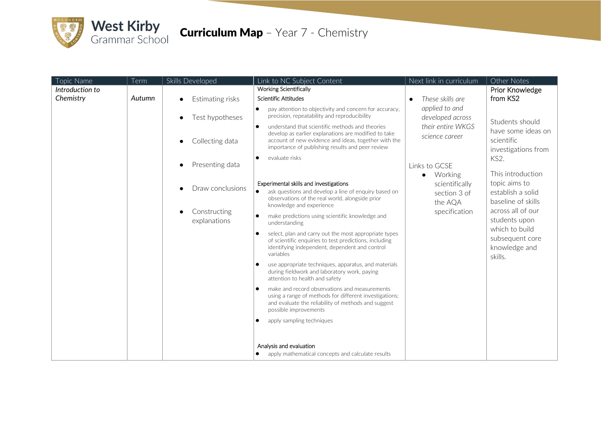

## **Curriculum Map** - Year 7 - Chemistry

| Topic Name      | Term   | Skills Developed             | Link to NC Subject Content                                                                                                                                                                                                                         | Next link in curriculum                                                                    | Other Notes                                                                                                                                                                                                                                                                |
|-----------------|--------|------------------------------|----------------------------------------------------------------------------------------------------------------------------------------------------------------------------------------------------------------------------------------------------|--------------------------------------------------------------------------------------------|----------------------------------------------------------------------------------------------------------------------------------------------------------------------------------------------------------------------------------------------------------------------------|
| Introduction to |        |                              | <b>Working Scientifically</b>                                                                                                                                                                                                                      |                                                                                            | Prior Knowledge                                                                                                                                                                                                                                                            |
| Chemistry       | Autumn | Estimating risks             | Scientific Attitudes                                                                                                                                                                                                                               | These skills are<br>$\bullet$                                                              | from KS2                                                                                                                                                                                                                                                                   |
|                 |        | Test hypotheses              | pay attention to objectivity and concern for accuracy,<br>$\bullet$<br>precision, repeatability and reproducibility                                                                                                                                | applied to and<br>developed across<br>their entire WKGS<br>science career<br>Links to GCSE | Students should<br>have some ideas on<br>scientific<br>investigations from<br>KS2.<br>This introduction<br>topic aims to<br>establish a solid<br>baseline of skills<br>across all of our<br>students upon<br>which to build<br>subsequent core<br>knowledge and<br>skills. |
|                 |        | Collecting data              | understand that scientific methods and theories<br>$\bullet$<br>develop as earlier explanations are modified to take<br>account of new evidence and ideas, together with the<br>importance of publishing results and peer review                   |                                                                                            |                                                                                                                                                                                                                                                                            |
|                 |        | Presenting data              | evaluate risks<br>$\bullet$                                                                                                                                                                                                                        |                                                                                            |                                                                                                                                                                                                                                                                            |
|                 |        | Draw conclusions             | Working<br>$\bullet$<br>Experimental skills and investigations<br>scientifically<br>ask questions and develop a line of enquiry based on<br>section 3 of<br>observations of the real world, alongside prior<br>the AQA<br>knowledge and experience |                                                                                            |                                                                                                                                                                                                                                                                            |
|                 |        | Constructing<br>explanations | make predictions using scientific knowledge and<br>$\bullet$<br>understanding                                                                                                                                                                      | specification                                                                              |                                                                                                                                                                                                                                                                            |
|                 |        |                              | select, plan and carry out the most appropriate types<br>$\bullet$<br>of scientific enquiries to test predictions, including<br>identifying independent, dependent and control<br>variables                                                        |                                                                                            |                                                                                                                                                                                                                                                                            |
|                 |        |                              | use appropriate techniques, apparatus, and materials<br>$\bullet$<br>during fieldwork and laboratory work, paying<br>attention to health and safety                                                                                                |                                                                                            |                                                                                                                                                                                                                                                                            |
|                 |        |                              | make and record observations and measurements<br>$\bullet$<br>using a range of methods for different investigations;<br>and evaluate the reliability of methods and suggest<br>possible improvements                                               |                                                                                            |                                                                                                                                                                                                                                                                            |
|                 |        |                              | apply sampling techniques<br>$\bullet$                                                                                                                                                                                                             |                                                                                            |                                                                                                                                                                                                                                                                            |
|                 |        |                              | Analysis and evaluation<br>apply mathematical concepts and calculate results                                                                                                                                                                       |                                                                                            |                                                                                                                                                                                                                                                                            |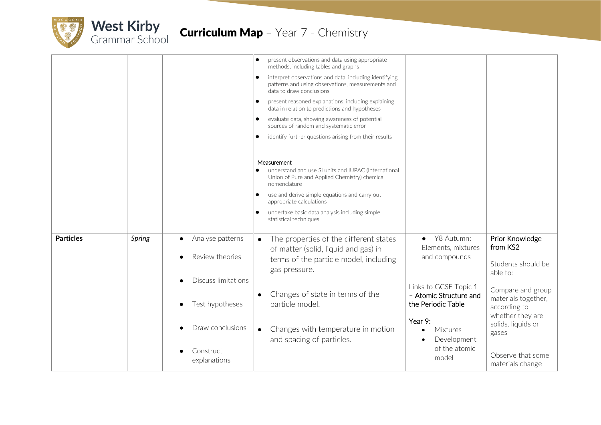

|                  |                 |                                                                                                                  | present observations and data using appropriate<br>$\bullet$<br>methods, including tables and graphs                                                 |                                                 |
|------------------|-----------------|------------------------------------------------------------------------------------------------------------------|------------------------------------------------------------------------------------------------------------------------------------------------------|-------------------------------------------------|
|                  |                 |                                                                                                                  | interpret observations and data, including identifying<br>$\bullet$<br>patterns and using observations, measurements and<br>data to draw conclusions |                                                 |
|                  |                 |                                                                                                                  | present reasoned explanations, including explaining<br>$\bullet$<br>data in relation to predictions and hypotheses                                   |                                                 |
|                  |                 |                                                                                                                  | evaluate data, showing awareness of potential<br>$\bullet$<br>sources of random and systematic error                                                 |                                                 |
|                  |                 |                                                                                                                  | identify further questions arising from their results<br>$\bullet$                                                                                   |                                                 |
|                  |                 |                                                                                                                  | Measurement                                                                                                                                          |                                                 |
|                  |                 |                                                                                                                  | understand and use SI units and IUPAC (International<br>Union of Pure and Applied Chemistry) chemical<br>nomenclature                                |                                                 |
|                  |                 |                                                                                                                  | use and derive simple equations and carry out<br>$\bullet$<br>appropriate calculations                                                               |                                                 |
|                  |                 |                                                                                                                  | undertake basic data analysis including simple<br>$\bullet$<br>statistical techniques                                                                |                                                 |
| <b>Particles</b> | Spring          | Analyse patterns                                                                                                 | Y8 Autumn:<br>The properties of the different states<br>$\bullet$<br>$\bullet$<br>Elements, mixtures                                                 | Prior Knowledge<br>from KS2                     |
|                  | Review theories | of matter (solid, liquid and gas) in<br>and compounds<br>terms of the particle model, including<br>gas pressure. | Students should be<br>able to:                                                                                                                       |                                                 |
|                  |                 | <b>Discuss limitations</b>                                                                                       | Links to GCSE Topic 1                                                                                                                                | Compare and group                               |
|                  | Test hypotheses | Changes of state in terms of the<br>- Atomic Structure and<br>$\bullet$<br>the Periodic Table<br>particle model. | materials together,<br>according to                                                                                                                  |                                                 |
|                  |                 | Draw conclusions                                                                                                 | Year 9:<br>Changes with temperature in motion<br>$\bullet$<br>Mixtures<br>and spacing of particles.<br>Development                                   | whether they are<br>solids, liquids or<br>gases |
|                  |                 | Construct<br>explanations                                                                                        | of the atomic<br>model                                                                                                                               | Observe that some<br>materials change           |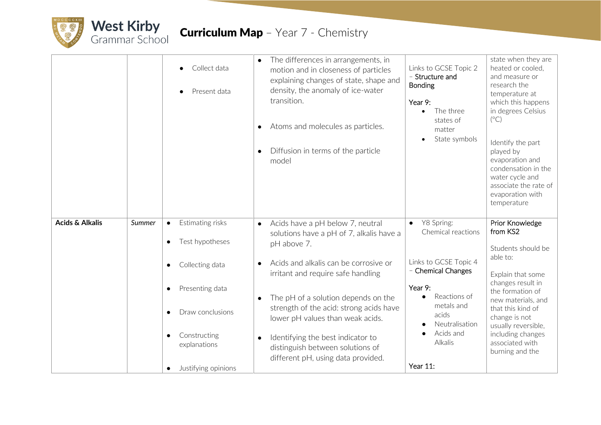

## **Curriculum Map** - Year 7 - Chemistry

|                            |        | Collect data<br>Present data                                                                                                                                                                                                                    | The differences in arrangements, in<br>$\bullet$<br>motion and in closeness of particles<br>explaining changes of state, shape and<br>density, the anomaly of ice-water<br>transition.<br>Atoms and molecules as particles.<br>Diffusion in terms of the particle<br>model                                                                                                                                                                                          | Links to GCSE Topic 2<br>- Structure and<br><b>Bonding</b><br>Year 9:<br>The three<br>$\bullet$<br>states of<br>matter<br>State symbols                                                                           | state when they are<br>heated or cooled,<br>and measure or<br>research the<br>temperature at<br>which this happens<br>in degrees Celsius<br>$(^{\circ}C)$<br>Identify the part<br>played by<br>evaporation and<br>condensation in the<br>water cycle and<br>associate the rate of<br>evaporation with<br>temperature |
|----------------------------|--------|-------------------------------------------------------------------------------------------------------------------------------------------------------------------------------------------------------------------------------------------------|---------------------------------------------------------------------------------------------------------------------------------------------------------------------------------------------------------------------------------------------------------------------------------------------------------------------------------------------------------------------------------------------------------------------------------------------------------------------|-------------------------------------------------------------------------------------------------------------------------------------------------------------------------------------------------------------------|----------------------------------------------------------------------------------------------------------------------------------------------------------------------------------------------------------------------------------------------------------------------------------------------------------------------|
| <b>Acids &amp; Alkalis</b> | Summer | Estimating risks<br>$\bullet$<br>Test hypotheses<br>$\bullet$<br>Collecting data<br>$\bullet$<br>Presenting data<br>$\bullet$<br>Draw conclusions<br>$\bullet$<br>Constructing<br>$\bullet$<br>explanations<br>Justifying opinions<br>$\bullet$ | Acids have a pH below 7, neutral<br>$\bullet$<br>solutions have a pH of 7, alkalis have a<br>pH above 7.<br>Acids and alkalis can be corrosive or<br>$\bullet$<br>irritant and require safe handling<br>The pH of a solution depends on the<br>$\bullet$<br>strength of the acid: strong acids have<br>lower pH values than weak acids.<br>Identifying the best indicator to<br>$\bullet$<br>distinguish between solutions of<br>different pH, using data provided. | Y8 Spring:<br>$\bullet$<br>Chemical reactions<br>Links to GCSE Topic 4<br>- Chemical Changes<br>Year 9:<br>Reactions of<br>$\bullet$<br>metals and<br>acids<br>Neutralisation<br>Acids and<br>Alkalis<br>Year 11: | Prior Knowledge<br>from KS2<br>Students should be<br>able to:<br>Explain that some<br>changes result in<br>the formation of<br>new materials, and<br>that this kind of<br>change is not<br>usually reversible,<br>including changes<br>associated with<br>burning and the                                            |